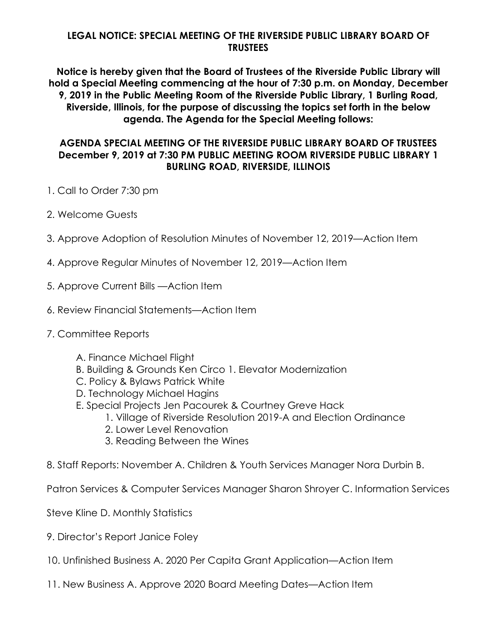## **LEGAL NOTICE: SPECIAL MEETING OF THE RIVERSIDE PUBLIC LIBRARY BOARD OF TRUSTEES**

**Notice is hereby given that the Board of Trustees of the Riverside Public Library will hold a Special Meeting commencing at the hour of 7:30 p.m. on Monday, December 9, 2019 in the Public Meeting Room of the Riverside Public Library, 1 Burling Road, Riverside, Illinois, for the purpose of discussing the topics set forth in the below agenda. The Agenda for the Special Meeting follows:**

## **AGENDA SPECIAL MEETING OF THE RIVERSIDE PUBLIC LIBRARY BOARD OF TRUSTEES December 9, 2019 at 7:30 PM PUBLIC MEETING ROOM RIVERSIDE PUBLIC LIBRARY 1 BURLING ROAD, RIVERSIDE, ILLINOIS**

- 1. Call to Order 7:30 pm
- 2. Welcome Guests
- 3. Approve Adoption of Resolution Minutes of November 12, 2019—Action Item
- 4. Approve Regular Minutes of November 12, 2019—Action Item
- 5. Approve Current Bills —Action Item
- 6. Review Financial Statements—Action Item
- 7. Committee Reports
	- A. Finance Michael Flight
	- B. Building & Grounds Ken Circo 1. Elevator Modernization
	- C. Policy & Bylaws Patrick White
	- D. Technology Michael Hagins
	- E. Special Projects Jen Pacourek & Courtney Greve Hack
		- 1. Village of Riverside Resolution 2019-A and Election Ordinance
		- 2. Lower Level Renovation
		- 3. Reading Between the Wines
- 8. Staff Reports: November A. Children & Youth Services Manager Nora Durbin B.

Patron Services & Computer Services Manager Sharon Shroyer C. Information Services

Steve Kline D. Monthly Statistics

- 9. Director's Report Janice Foley
- 10. Unfinished Business A. 2020 Per Capita Grant Application—Action Item
- 11. New Business A. Approve 2020 Board Meeting Dates—Action Item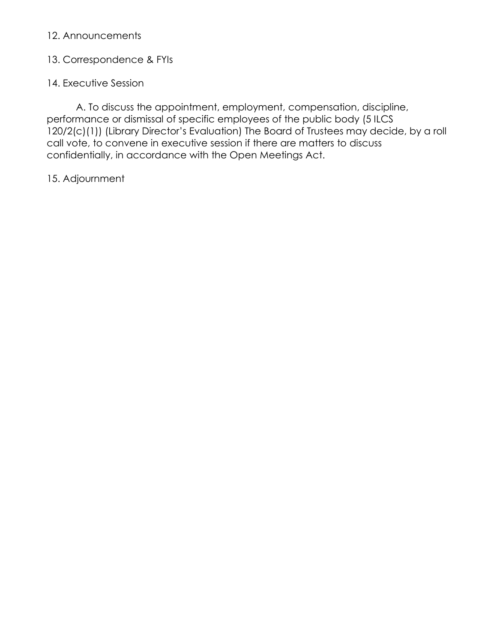# 12. Announcements

# 13. Correspondence & FYIs

# 14. Executive Session

A. To discuss the appointment, employment, compensation, discipline, performance or dismissal of specific employees of the public body (5 ILCS 120/2(c)(1)) (Library Director's Evaluation) The Board of Trustees may decide, by a roll call vote, to convene in executive session if there are matters to discuss confidentially, in accordance with the Open Meetings Act.

# 15. Adjournment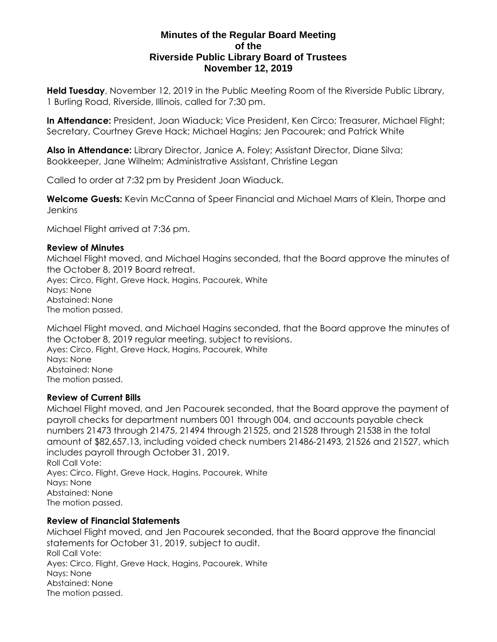### **Minutes of the Regular Board Meeting of the Riverside Public Library Board of Trustees November 12, 2019**

**Held Tuesday**, November 12, 2019 in the Public Meeting Room of the Riverside Public Library, 1 Burling Road, Riverside, Illinois, called for 7:30 pm.

**In Attendance:** President, Joan Wiaduck; Vice President, Ken Circo; Treasurer, Michael Flight; Secretary, Courtney Greve Hack; Michael Hagins; Jen Pacourek; and Patrick White

**Also in Attendance:** Library Director, Janice A. Foley; Assistant Director, Diane Silva; Bookkeeper, Jane Wilhelm; Administrative Assistant, Christine Legan

Called to order at 7:32 pm by President Joan Wiaduck.

**Welcome Guests:** Kevin McCanna of Speer Financial and Michael Marrs of Klein, Thorpe and **Jenkins** 

Michael Flight arrived at 7:36 pm.

#### **Review of Minutes**

Michael Flight moved, and Michael Hagins seconded, that the Board approve the minutes of the October 8, 2019 Board retreat.

Ayes: Circo, Flight, Greve Hack, Hagins, Pacourek, White Nays: None Abstained: None The motion passed.

Michael Flight moved, and Michael Hagins seconded, that the Board approve the minutes of the October 8, 2019 regular meeting, subject to revisions. Ayes: Circo, Flight, Greve Hack, Hagins, Pacourek, White Nays: None

Abstained: None The motion passed.

### **Review of Current Bills**

Michael Flight moved, and Jen Pacourek seconded, that the Board approve the payment of payroll checks for department numbers 001 through 004, and accounts payable check numbers 21473 through 21475, 21494 through 21525, and 21528 through 21538 in the total amount of \$82,657.13, including voided check numbers 21486-21493, 21526 and 21527, which includes payroll through October 31, 2019. Roll Call Vote: Ayes: Circo, Flight, Greve Hack, Hagins, Pacourek, White

Nays: None Abstained: None The motion passed.

### **Review of Financial Statements**

Michael Flight moved, and Jen Pacourek seconded, that the Board approve the financial statements for October 31, 2019, subject to audit. Roll Call Vote: Ayes: Circo, Flight, Greve Hack, Hagins, Pacourek, White Nays: None Abstained: None The motion passed.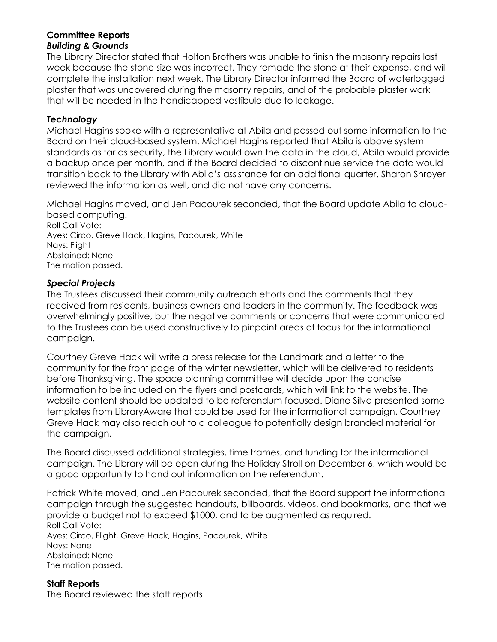## **Committee Reports** *Building & Grounds*

The Library Director stated that Holton Brothers was unable to finish the masonry repairs last week because the stone size was incorrect. They remade the stone at their expense, and will complete the installation next week. The Library Director informed the Board of waterlogged plaster that was uncovered during the masonry repairs, and of the probable plaster work that will be needed in the handicapped vestibule due to leakage.

## *Technology*

Michael Hagins spoke with a representative at Abila and passed out some information to the Board on their cloud-based system. Michael Hagins reported that Abila is above system standards as far as security, the Library would own the data in the cloud, Abila would provide a backup once per month, and if the Board decided to discontinue service the data would transition back to the Library with Abila's assistance for an additional quarter. Sharon Shroyer reviewed the information as well, and did not have any concerns.

Michael Hagins moved, and Jen Pacourek seconded, that the Board update Abila to cloudbased computing.

Roll Call Vote: Ayes: Circo, Greve Hack, Hagins, Pacourek, White Nays: Flight Abstained: None The motion passed.

### *Special Projects*

The Trustees discussed their community outreach efforts and the comments that they received from residents, business owners and leaders in the community. The feedback was overwhelmingly positive, but the negative comments or concerns that were communicated to the Trustees can be used constructively to pinpoint areas of focus for the informational campaign.

Courtney Greve Hack will write a press release for the Landmark and a letter to the community for the front page of the winter newsletter, which will be delivered to residents before Thanksgiving. The space planning committee will decide upon the concise information to be included on the flyers and postcards, which will link to the website. The website content should be updated to be referendum focused. Diane Silva presented some templates from LibraryAware that could be used for the informational campaign. Courtney Greve Hack may also reach out to a colleague to potentially design branded material for the campaign.

The Board discussed additional strategies, time frames, and funding for the informational campaign. The Library will be open during the Holiday Stroll on December 6, which would be a good opportunity to hand out information on the referendum.

Patrick White moved, and Jen Pacourek seconded, that the Board support the informational campaign through the suggested handouts, billboards, videos, and bookmarks, and that we provide a budget not to exceed \$1000, and to be augmented as required. Roll Call Vote: Ayes: Circo, Flight, Greve Hack, Hagins, Pacourek, White Nays: None Abstained: None The motion passed.

**Staff Reports** The Board reviewed the staff reports.